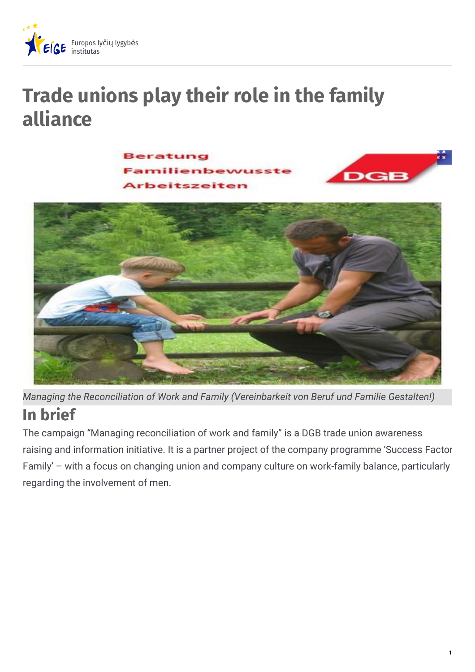

# **Trade unions play their role in the family alliance**

**Beratung** beitszeiten





**In brief** *Managing the Reconciliation of Work and Family (Vereinbarkeit von Beruf und Familie Gestalten!)*

The campaign "Managing reconciliation of work and family" is a DGB trade union awareness raising and information initiative. It is a partner project of the company programme 'Success Factor Family' – with a focus on changing union and company culture on work-family balance, particularly regarding the involvement of men.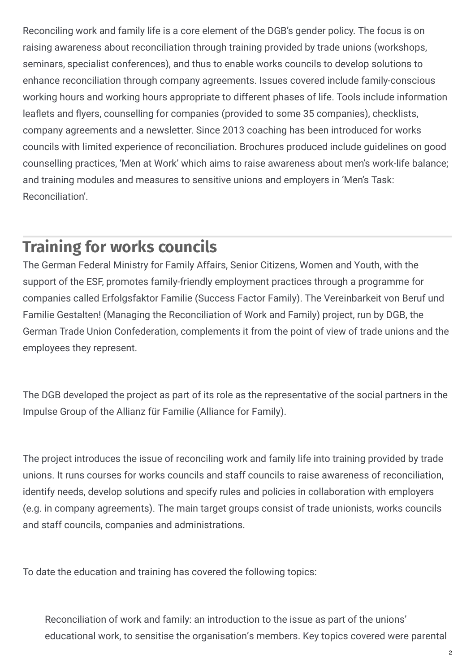Reconciling work and family life is a core element of the DGB's gender policy. The focus is on raising awareness about reconciliation through training provided by trade unions (workshops, seminars, specialist conferences), and thus to enable works councils to develop solutions to enhance reconciliation through company agreements. Issues covered include family-conscious working hours and working hours appropriate to different phases of life. Tools include information leaflets and flyers, counselling for companies (provided to some 35 companies), checklists, company agreements and a newsletter. Since 2013 coaching has been introduced for works councils with limited experience of reconciliation. Brochures produced include guidelines on good counselling practices, 'Men at Work' which aims to raise awareness about men's work-life balance; and training modules and measures to sensitive unions and employers in 'Men's Task: Reconciliation'.

### **Training for works councils**

The German Federal Ministry for Family Affairs, Senior Citizens, Women and Youth, with the support of the ESF, promotes family-friendly employment practices through a programme for companies called Erfolgsfaktor Familie (Success Factor Family). The Vereinbarkeit von Beruf und Familie Gestalten! (Managing the Reconciliation of Work and Family) project, run by DGB, the German Trade Union Confederation, complements it from the point of view of trade unions and the employees they represent.

The DGB developed the project as part of its role as the representative of the social partners in the Impulse Group of the Allianz für Familie (Alliance for Family).

The project introduces the issue of reconciling work and family life into training provided by trade unions. It runs courses for works councils and staff councils to raise awareness of reconciliation, identify needs, develop solutions and specify rules and policies in collaboration with employers (e.g. in company agreements). The main target groups consist of trade unionists, works councils and staff councils, companies and administrations.

To date the education and training has covered the following topics:

Reconciliation of work and family: an introduction to the issue as part of the unions' educational work, to sensitise the organisation's members. Key topics covered were parental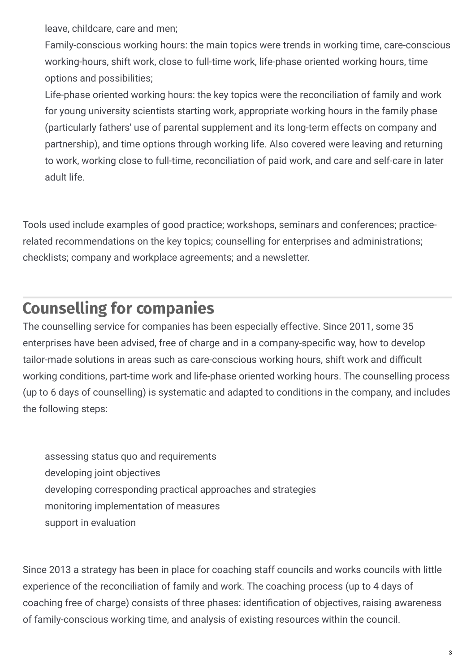leave, childcare, care and men;

Family-conscious working hours: the main topics were trends in working time, care-conscious working-hours, shift work, close to full-time work, life-phase oriented working hours, time options and possibilities;

Life-phase oriented working hours: the key topics were the reconciliation of family and work for young university scientists starting work, appropriate working hours in the family phase (particularly fathers' use of parental supplement and its long-term effects on company and partnership), and time options through working life. Also covered were leaving and returning to work, working close to full-time, reconciliation of paid work, and care and self-care in later adult life.

Tools used include examples of good practice; workshops, seminars and conferences; practicerelated recommendations on the key topics; counselling for enterprises and administrations; checklists; company and workplace agreements; and a newsletter.

# **Counselling for companies**

The counselling service for companies has been especially effective. Since 2011, some 35 enterprises have been advised, free of charge and in a company-specific way, how to develop tailor-made solutions in areas such as care-conscious working hours, shift work and difficult working conditions, part-time work and life-phase oriented working hours. The counselling process (up to 6 days of counselling) is systematic and adapted to conditions in the company, and includes the following steps:

assessing status quo and requirements developing joint objectives developing corresponding practical approaches and strategies monitoring implementation of measures support in evaluation

Since 2013 a strategy has been in place for coaching staff councils and works councils with little experience of the reconciliation of family and work. The coaching process (up to 4 days of coaching free of charge) consists of three phases: identification of objectives, raising awareness of family-conscious working time, and analysis of existing resources within the council.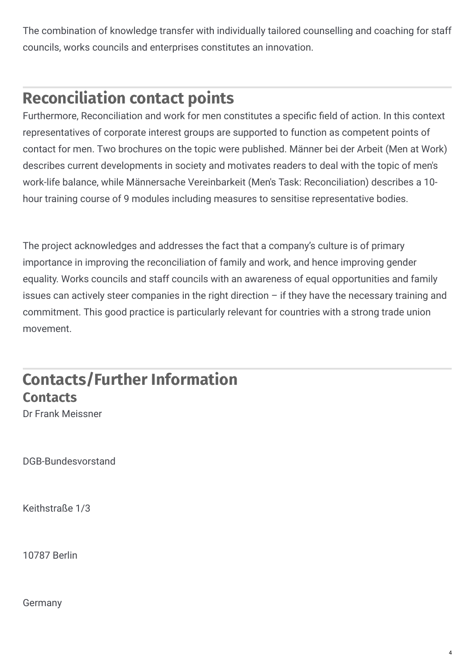The combination of knowledge transfer with individually tailored counselling and coaching for staff councils, works councils and enterprises constitutes an innovation.

# **Reconciliation contact points**

Furthermore, Reconciliation and work for men constitutes a specific field of action. In this context representatives of corporate interest groups are supported to function as competent points of contact for men. Two brochures on the topic were published. Männer bei der Arbeit (Men at Work) describes current developments in society and motivates readers to deal with the topic of men's work-life balance, while Männersache Vereinbarkeit (Men's Task: Reconciliation) describes a 10 hour training course of 9 modules including measures to sensitise representative bodies.

The project acknowledges and addresses the fact that a company's culture is of primary importance in improving the reconciliation of family and work, and hence improving gender equality. Works councils and staff councils with an awareness of equal opportunities and family issues can actively steer companies in the right direction  $-$  if they have the necessary training and commitment. This good practice is particularly relevant for countries with a strong trade union movement.

## **Contacts/Further Information Contacts**

Dr Frank Meissner

DGB-Bundesvorstand

Keithstraße 1/3

10787 Berlin

Germany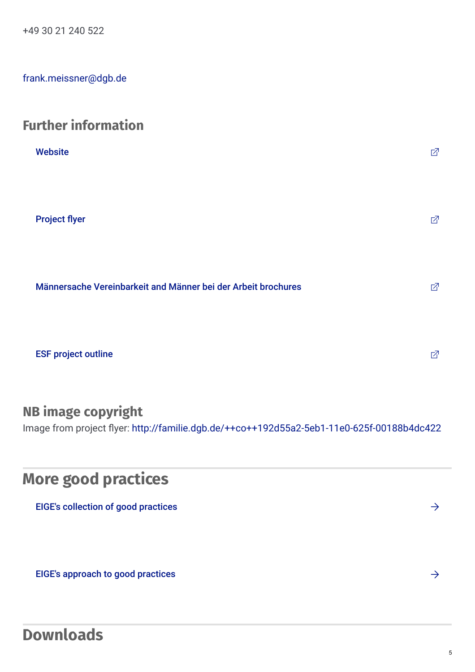+49 30 21 240 522

[frank.meissner@dgb.de](mailto:frank.meissner@dgb.de)

#### **Further information**

| <b>Website</b>                                                | 囨 |
|---------------------------------------------------------------|---|
| <b>Project flyer</b>                                          | 囨 |
| Männersache Vereinbarkeit and Männer bei der Arbeit brochures | 囨 |
| <b>ESF project outline</b>                                    | 囨 |

#### **NB image copyright**

Image from project flyer: <http://familie.dgb.de/++co++192d55a2-5eb1-11e0-625f-00188b4dc422>

### **More good practices**

EIGE's [collection](http://eige.europa.eu/gender-mainstreaming/good-practices) of good practices

EIGE's [approach](http://eige.europa.eu/gender-mainstreaming/good-practices/eige-approach) to good practices  $\rightarrow$